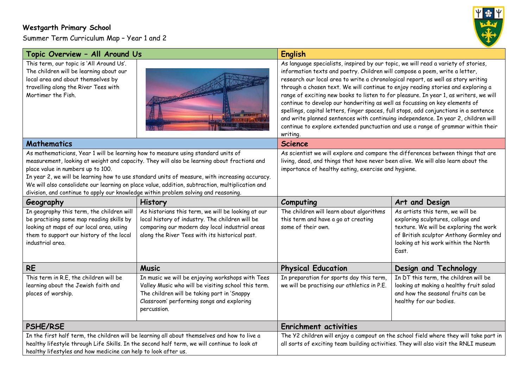## **Westgarth Primary School**

Summer Term Curriculum Map – Year 1 and 2



| Topic Overview - All Around Us                                                                                                                                                                                                                                                                                                                                                                                                                                                                                    |                                                                                                                                                                                                                    | <b>English</b>                                                                                                                                                                                                                                                                                                                                                                                                                                                                                                                                                                                                                                                                                                                                                                                    |                                                                                                                                                                                                             |
|-------------------------------------------------------------------------------------------------------------------------------------------------------------------------------------------------------------------------------------------------------------------------------------------------------------------------------------------------------------------------------------------------------------------------------------------------------------------------------------------------------------------|--------------------------------------------------------------------------------------------------------------------------------------------------------------------------------------------------------------------|---------------------------------------------------------------------------------------------------------------------------------------------------------------------------------------------------------------------------------------------------------------------------------------------------------------------------------------------------------------------------------------------------------------------------------------------------------------------------------------------------------------------------------------------------------------------------------------------------------------------------------------------------------------------------------------------------------------------------------------------------------------------------------------------------|-------------------------------------------------------------------------------------------------------------------------------------------------------------------------------------------------------------|
| This term, our topic is 'All Around Us'.<br>The children will be learning about our<br>local area and about themselves by<br>travelling along the River Tees with<br>Mortimer the Fish.                                                                                                                                                                                                                                                                                                                           |                                                                                                                                                                                                                    | As language specialists, inspired by our topic, we will read a variety of stories,<br>information texts and poetry. Children will compose a poem, write a letter,<br>research our local area to write a chronological report, as well as story writing<br>through a chosen text. We will continue to enjoy reading stories and exploring a<br>range of exciting new books to listen to for pleasure. In year 1, as writers, we will<br>continue to develop our handwriting as well as focussing on key elements of<br>spellings, capital letters, finger spaces, full stops, add conjunctions in a sentence<br>and write planned sentences with continuing independence. In year 2, children will<br>continue to explore extended punctuation and use a range of grammar within their<br>writing. |                                                                                                                                                                                                             |
| <b>Mathematics</b>                                                                                                                                                                                                                                                                                                                                                                                                                                                                                                |                                                                                                                                                                                                                    | <b>Science</b>                                                                                                                                                                                                                                                                                                                                                                                                                                                                                                                                                                                                                                                                                                                                                                                    |                                                                                                                                                                                                             |
| As mathematicians, Year 1 will be learning how to measure using standard units of<br>measurement, looking at weight and capacity. They will also be learning about fractions and<br>place value in numbers up to 100.<br>In year 2, we will be learning how to use standard units of measure, with increasing accuracy.<br>We will also consolidate our learning on place value, addition, subtraction, multiplication and<br>division, and continue to apply our knowledge within problem solving and reasoning. |                                                                                                                                                                                                                    | As scientist we will explore and compare the differences between things that are<br>living, dead, and things that have never been alive. We will also learn about the<br>importance of healthy eating, exercise and hygiene.                                                                                                                                                                                                                                                                                                                                                                                                                                                                                                                                                                      |                                                                                                                                                                                                             |
| Geography                                                                                                                                                                                                                                                                                                                                                                                                                                                                                                         | History                                                                                                                                                                                                            | Computing                                                                                                                                                                                                                                                                                                                                                                                                                                                                                                                                                                                                                                                                                                                                                                                         | Art and Design                                                                                                                                                                                              |
| In geography this term, the children will<br>be practising some map reading skills by<br>looking at maps of our local area, using<br>them to support our history of the local<br>industrial area.                                                                                                                                                                                                                                                                                                                 | As historians this term, we will be looking at our<br>local history of industry. The children will be<br>comparing our modern day local industrial areas<br>along the River Tees with its historical past.         | The children will learn about algorithms<br>this term and have a go at creating<br>some of their own.                                                                                                                                                                                                                                                                                                                                                                                                                                                                                                                                                                                                                                                                                             | As artists this term, we will be<br>exploring sculptures, collage and<br>texture. We will be exploring the work<br>of British sculptor Anthony Gormley and<br>looking at his work within the North<br>East. |
| <b>RE</b>                                                                                                                                                                                                                                                                                                                                                                                                                                                                                                         | <b>Music</b>                                                                                                                                                                                                       | <b>Physical Education</b>                                                                                                                                                                                                                                                                                                                                                                                                                                                                                                                                                                                                                                                                                                                                                                         | Design and Technology                                                                                                                                                                                       |
| This term in R.E, the children will be<br>learning about the Jewish faith and<br>places of worship.                                                                                                                                                                                                                                                                                                                                                                                                               | In music we will be enjoying workshops with Tees<br>Valley Music who will be visiting school this term.<br>The children will be taking part in 'Snappy<br>Classroom' performing songs and exploring<br>percussion. | In preparation for sports day this term,<br>we will be practising our athletics in P.E.                                                                                                                                                                                                                                                                                                                                                                                                                                                                                                                                                                                                                                                                                                           | In DT this term, the children will be<br>looking at making a healthy fruit salad<br>and how the seasonal fruits can be<br>healthy for our bodies.                                                           |
| <b>PSHE/RSE</b>                                                                                                                                                                                                                                                                                                                                                                                                                                                                                                   |                                                                                                                                                                                                                    | <b>Enrichment activities</b>                                                                                                                                                                                                                                                                                                                                                                                                                                                                                                                                                                                                                                                                                                                                                                      |                                                                                                                                                                                                             |
| In the first half term, the children will be learning all about themselves and how to live a<br>healthy lifestyle through Life Skills. In the second half term, we will continue to look at<br>healthy lifestyles and how medicine can help to look after us.                                                                                                                                                                                                                                                     |                                                                                                                                                                                                                    | The Y2 children will enjoy a campout on the school field where they will take part in<br>all sorts of exciting team building activities. They will also visit the RNLI museum                                                                                                                                                                                                                                                                                                                                                                                                                                                                                                                                                                                                                     |                                                                                                                                                                                                             |